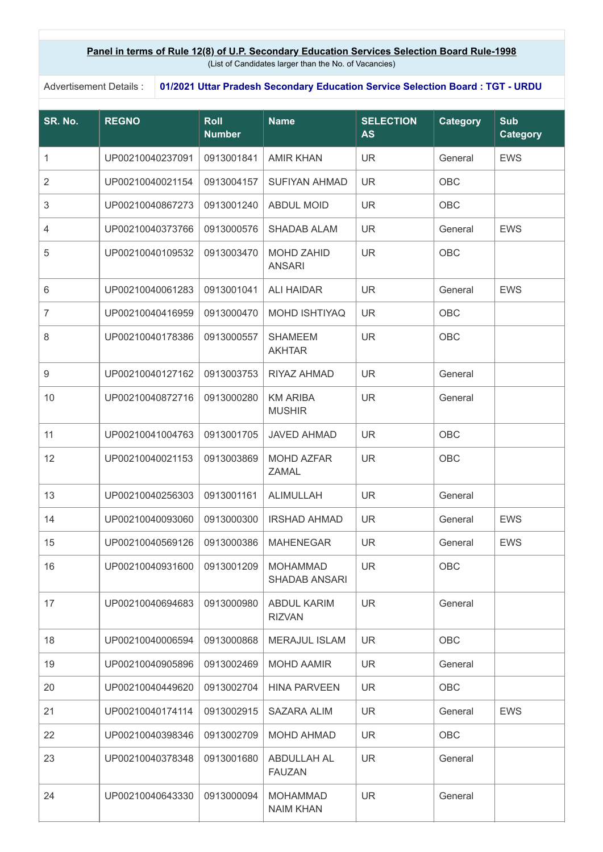## **Panel in terms of Rule 12(8) of U.P. Secondary Education Services Selection Board Rule-1998**

(List of Candidates larger than the No. of Vacancies)

Advertisement Details : **01/2021 Uttar Pradesh Secondary Education Service Selection Board : TGT - URDU**

| SR. No.        | <b>REGNO</b>     | <b>Roll</b><br><b>Number</b> | <b>Name</b>                             | <b>SELECTION</b><br><b>AS</b> | <b>Category</b> | <b>Sub</b><br><b>Category</b> |
|----------------|------------------|------------------------------|-----------------------------------------|-------------------------------|-----------------|-------------------------------|
| 1              | UP00210040237091 | 0913001841                   | <b>AMIR KHAN</b>                        | <b>UR</b>                     | General         | <b>EWS</b>                    |
| 2              | UP00210040021154 | 0913004157                   | <b>SUFIYAN AHMAD</b>                    | <b>UR</b>                     | OBC             |                               |
| 3              | UP00210040867273 | 0913001240                   | <b>ABDUL MOID</b>                       | <b>UR</b>                     | OBC             |                               |
| 4              | UP00210040373766 | 0913000576                   | <b>SHADAB ALAM</b>                      | <b>UR</b>                     | General         | <b>EWS</b>                    |
| 5              | UP00210040109532 | 0913003470                   | <b>MOHD ZAHID</b><br><b>ANSARI</b>      | <b>UR</b>                     | <b>OBC</b>      |                               |
| 6              | UP00210040061283 | 0913001041                   | <b>ALI HAIDAR</b>                       | <b>UR</b>                     | General         | <b>EWS</b>                    |
| $\overline{7}$ | UP00210040416959 | 0913000470                   | <b>MOHD ISHTIYAQ</b>                    | <b>UR</b>                     | <b>OBC</b>      |                               |
| 8              | UP00210040178386 | 0913000557                   | <b>SHAMEEM</b><br><b>AKHTAR</b>         | <b>UR</b>                     | OBC             |                               |
| 9              | UP00210040127162 | 0913003753                   | RIYAZ AHMAD                             | <b>UR</b>                     | General         |                               |
| 10             | UP00210040872716 | 0913000280                   | <b>KM ARIBA</b><br><b>MUSHIR</b>        | <b>UR</b>                     | General         |                               |
| 11             | UP00210041004763 | 0913001705                   | <b>JAVED AHMAD</b>                      | <b>UR</b>                     | OBC             |                               |
| 12             | UP00210040021153 | 0913003869                   | <b>MOHD AZFAR</b><br><b>ZAMAL</b>       | <b>UR</b>                     | <b>OBC</b>      |                               |
| 13             | UP00210040256303 | 0913001161                   | <b>ALIMULLAH</b>                        | <b>UR</b>                     | General         |                               |
| 14             | UP00210040093060 | 0913000300                   | <b>IRSHAD AHMAD</b>                     | <b>UR</b>                     | General         | <b>EWS</b>                    |
| 15             | UP00210040569126 | 0913000386                   | <b>MAHENEGAR</b>                        | <b>UR</b>                     | General         | <b>EWS</b>                    |
| 16             | UP00210040931600 | 0913001209                   | <b>MOHAMMAD</b><br><b>SHADAB ANSARI</b> | <b>UR</b>                     | OBC             |                               |
| 17             | UP00210040694683 | 0913000980                   | <b>ABDUL KARIM</b><br><b>RIZVAN</b>     | <b>UR</b>                     | General         |                               |
| 18             | UP00210040006594 | 0913000868                   | <b>MERAJUL ISLAM</b>                    | <b>UR</b>                     | <b>OBC</b>      |                               |
| 19             | UP00210040905896 | 0913002469                   | <b>MOHD AAMIR</b>                       | <b>UR</b>                     | General         |                               |
| 20             | UP00210040449620 | 0913002704                   | <b>HINA PARVEEN</b>                     | <b>UR</b>                     | OBC             |                               |
| 21             | UP00210040174114 | 0913002915                   | <b>SAZARA ALIM</b>                      | <b>UR</b>                     | General         | <b>EWS</b>                    |
| 22             | UP00210040398346 | 0913002709                   | <b>MOHD AHMAD</b>                       | <b>UR</b>                     | OBC             |                               |
| 23             | UP00210040378348 | 0913001680                   | ABDULLAH AL<br><b>FAUZAN</b>            | <b>UR</b>                     | General         |                               |
| 24             | UP00210040643330 | 0913000094                   | <b>MOHAMMAD</b><br><b>NAIM KHAN</b>     | <b>UR</b>                     | General         |                               |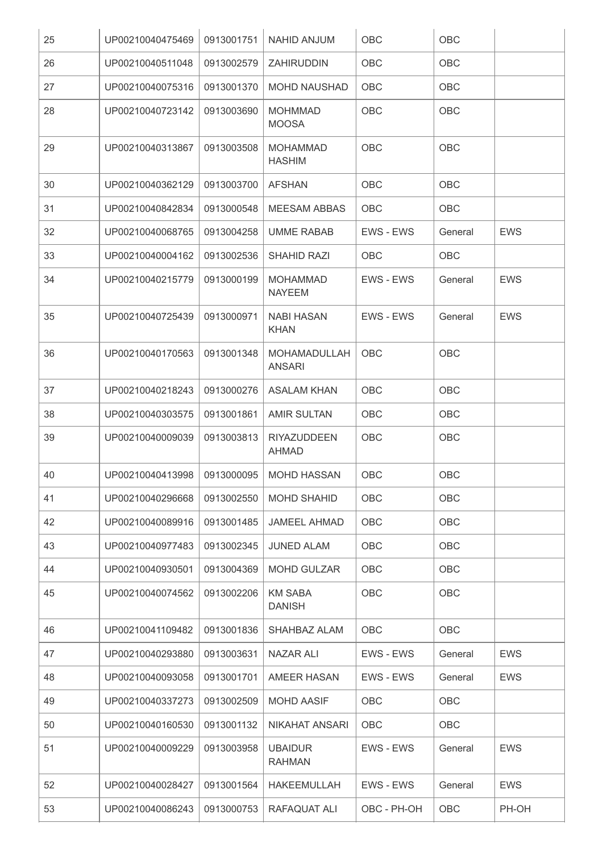| 25 | UP00210040475469 | 0913001751 | <b>NAHID ANJUM</b>                 | OBC              | OBC        |            |
|----|------------------|------------|------------------------------------|------------------|------------|------------|
| 26 | UP00210040511048 | 0913002579 | ZAHIRUDDIN                         | OBC              | OBC        |            |
| 27 | UP00210040075316 | 0913001370 | <b>MOHD NAUSHAD</b>                | OBC              | OBC        |            |
| 28 | UP00210040723142 | 0913003690 | <b>MOHMMAD</b><br><b>MOOSA</b>     | OBC              | OBC        |            |
| 29 | UP00210040313867 | 0913003508 | <b>MOHAMMAD</b><br><b>HASHIM</b>   | OBC              | OBC        |            |
| 30 | UP00210040362129 | 0913003700 | <b>AFSHAN</b>                      | OBC              | OBC        |            |
| 31 | UP00210040842834 | 0913000548 | <b>MEESAM ABBAS</b>                | <b>OBC</b>       | OBC        |            |
| 32 | UP00210040068765 | 0913004258 | <b>UMME RABAB</b>                  | EWS - EWS        | General    | <b>EWS</b> |
| 33 | UP00210040004162 | 0913002536 | <b>SHAHID RAZI</b>                 | OBC              | OBC        |            |
| 34 | UP00210040215779 | 0913000199 | <b>MOHAMMAD</b><br><b>NAYEEM</b>   | EWS - EWS        | General    | <b>EWS</b> |
| 35 | UP00210040725439 | 0913000971 | <b>NABI HASAN</b><br><b>KHAN</b>   | <b>EWS - EWS</b> | General    | <b>EWS</b> |
| 36 | UP00210040170563 | 0913001348 | MOHAMADULLAH<br><b>ANSARI</b>      | OBC              | OBC        |            |
| 37 | UP00210040218243 | 0913000276 | <b>ASALAM KHAN</b>                 | OBC              | OBC        |            |
| 38 | UP00210040303575 | 0913001861 | <b>AMIR SULTAN</b>                 | OBC              | OBC        |            |
| 39 | UP00210040009039 | 0913003813 | <b>RIYAZUDDEEN</b><br><b>AHMAD</b> | OBC              | OBC        |            |
| 40 | UP00210040413998 | 0913000095 | <b>MOHD HASSAN</b>                 | OBC              | OBC        |            |
| 41 | UP00210040296668 | 0913002550 | <b>MOHD SHAHID</b>                 | OBC              | OBC        |            |
| 42 | UP00210040089916 | 0913001485 | <b>JAMEEL AHMAD</b>                | OBC              | OBC        |            |
| 43 | UP00210040977483 | 0913002345 | <b>JUNED ALAM</b>                  | OBC              | OBC        |            |
| 44 | UP00210040930501 | 0913004369 | <b>MOHD GULZAR</b>                 | <b>OBC</b>       | <b>OBC</b> |            |
| 45 | UP00210040074562 | 0913002206 | <b>KM SABA</b><br><b>DANISH</b>    | OBC              | OBC        |            |
| 46 | UP00210041109482 | 0913001836 | SHAHBAZ ALAM                       | <b>OBC</b>       | <b>OBC</b> |            |
| 47 | UP00210040293880 | 0913003631 | <b>NAZAR ALI</b>                   | EWS - EWS        | General    | <b>EWS</b> |
| 48 | UP00210040093058 | 0913001701 | AMEER HASAN                        | EWS - EWS        | General    | <b>EWS</b> |
| 49 | UP00210040337273 | 0913002509 | <b>MOHD AASIF</b>                  | OBC              | OBC        |            |
| 50 | UP00210040160530 | 0913001132 | NIKAHAT ANSARI                     | OBC              | OBC        |            |
| 51 | UP00210040009229 | 0913003958 | <b>UBAIDUR</b><br><b>RAHMAN</b>    | EWS - EWS        | General    | <b>EWS</b> |
| 52 | UP00210040028427 | 0913001564 | <b>HAKEEMULLAH</b>                 | EWS - EWS        | General    | <b>EWS</b> |
| 53 | UP00210040086243 | 0913000753 | RAFAQUAT ALI                       | OBC - PH-OH      | OBC        | PH-OH      |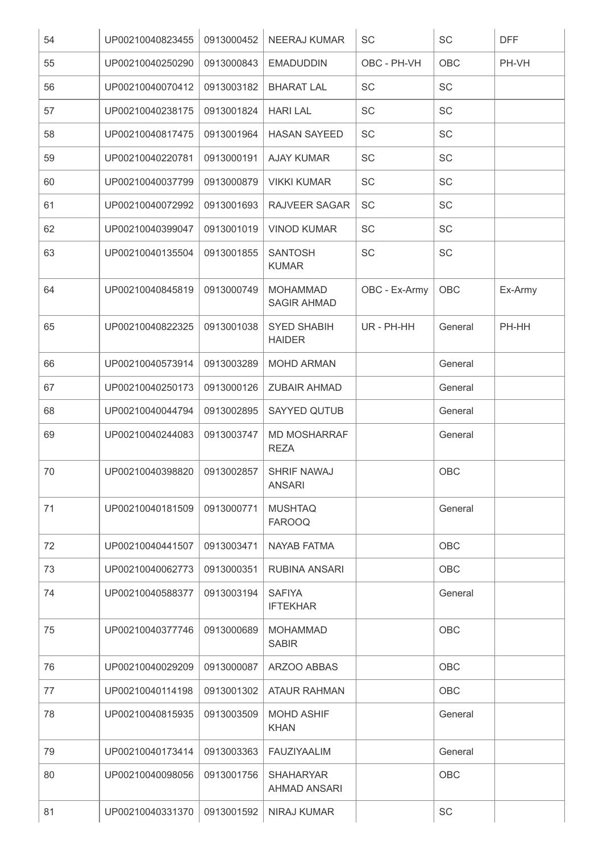| 54 | UP00210040823455 | 0913000452 | <b>NEERAJ KUMAR</b>                   | <b>SC</b>     | <b>SC</b>  | <b>DFF</b> |
|----|------------------|------------|---------------------------------------|---------------|------------|------------|
| 55 | UP00210040250290 | 0913000843 | <b>EMADUDDIN</b>                      | OBC - PH-VH   | OBC        | PH-VH      |
| 56 | UP00210040070412 | 0913003182 | <b>BHARAT LAL</b>                     | <b>SC</b>     | SC         |            |
| 57 | UP00210040238175 | 0913001824 | <b>HARI LAL</b>                       | SC            | SC         |            |
| 58 | UP00210040817475 | 0913001964 | <b>HASAN SAYEED</b>                   | SC            | SC         |            |
| 59 | UP00210040220781 | 0913000191 | <b>AJAY KUMAR</b>                     | SC            | SC         |            |
| 60 | UP00210040037799 | 0913000879 | <b>VIKKI KUMAR</b>                    | SC            | SC         |            |
| 61 | UP00210040072992 | 0913001693 | RAJVEER SAGAR                         | SC            | SC         |            |
| 62 | UP00210040399047 | 0913001019 | <b>VINOD KUMAR</b>                    | SC            | SC         |            |
| 63 | UP00210040135504 | 0913001855 | <b>SANTOSH</b><br><b>KUMAR</b>        | SC            | SC         |            |
| 64 | UP00210040845819 | 0913000749 | <b>MOHAMMAD</b><br><b>SAGIR AHMAD</b> | OBC - Ex-Army | OBC        | Ex-Army    |
| 65 | UP00210040822325 | 0913001038 | <b>SYED SHABIH</b><br><b>HAIDER</b>   | UR - PH-HH    | General    | PH-HH      |
| 66 | UP00210040573914 | 0913003289 | <b>MOHD ARMAN</b>                     |               | General    |            |
| 67 | UP00210040250173 | 0913000126 | <b>ZUBAIR AHMAD</b>                   |               | General    |            |
| 68 | UP00210040044794 | 0913002895 | <b>SAYYED QUTUB</b>                   |               | General    |            |
| 69 | UP00210040244083 | 0913003747 | <b>MD MOSHARRAF</b><br><b>REZA</b>    |               | General    |            |
| 70 | UP00210040398820 | 0913002857 | <b>SHRIF NAWAJ</b><br><b>ANSARI</b>   |               | OBC        |            |
| 71 | UP00210040181509 | 0913000771 | <b>MUSHTAQ</b><br><b>FAROOQ</b>       |               | General    |            |
| 72 | UP00210040441507 | 0913003471 | <b>NAYAB FATMA</b>                    |               | <b>OBC</b> |            |
| 73 | UP00210040062773 | 0913000351 | <b>RUBINA ANSARI</b>                  |               | <b>OBC</b> |            |
| 74 | UP00210040588377 | 0913003194 | <b>SAFIYA</b><br><b>IFTEKHAR</b>      |               | General    |            |
| 75 | UP00210040377746 | 0913000689 | <b>MOHAMMAD</b><br><b>SABIR</b>       |               | <b>OBC</b> |            |
| 76 | UP00210040029209 | 0913000087 | ARZOO ABBAS                           |               | OBC        |            |
| 77 | UP00210040114198 | 0913001302 | <b>ATAUR RAHMAN</b>                   |               | <b>OBC</b> |            |
| 78 | UP00210040815935 | 0913003509 | <b>MOHD ASHIF</b><br><b>KHAN</b>      |               | General    |            |
| 79 | UP00210040173414 | 0913003363 | <b>FAUZIYAALIM</b>                    |               | General    |            |
| 80 | UP00210040098056 | 0913001756 | <b>SHAHARYAR</b><br>AHMAD ANSARI      |               | <b>OBC</b> |            |
| 81 | UP00210040331370 | 0913001592 | <b>NIRAJ KUMAR</b>                    |               | SC         |            |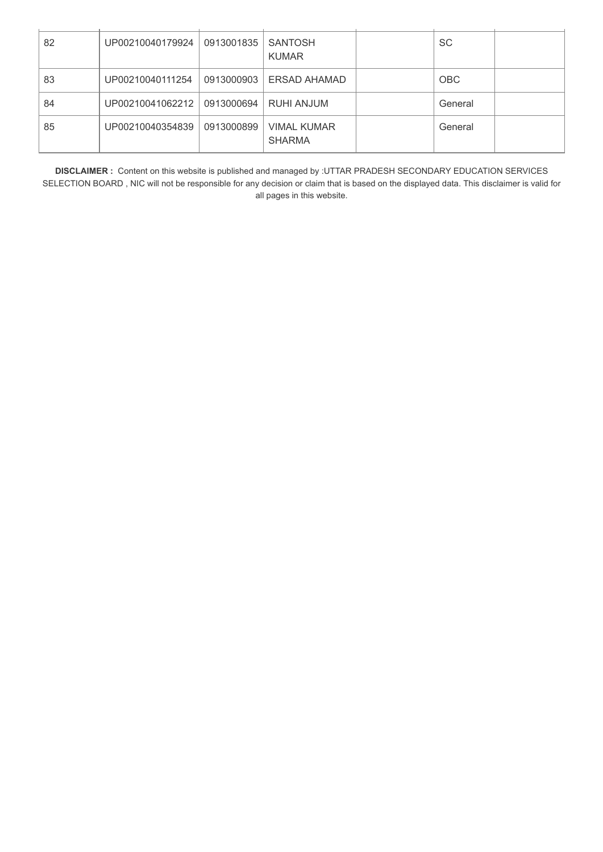| 82 | UP00210040179924 | 0913001835 | <b>SANTOSH</b><br><b>KUMAR</b>      | <b>SC</b>  |  |
|----|------------------|------------|-------------------------------------|------------|--|
| 83 | UP00210040111254 | 0913000903 | <b>ERSAD AHAMAD</b>                 | <b>OBC</b> |  |
| 84 | UP00210041062212 | 0913000694 | RUHI ANJUM                          | General    |  |
| 85 | UP00210040354839 | 0913000899 | <b>VIMAL KUMAR</b><br><b>SHARMA</b> | General    |  |

**DISCLAIMER :** Content on this website is published and managed by :UTTAR PRADESH SECONDARY EDUCATION SERVICES SELECTION BOARD , NIC will not be responsible for any decision or claim that is based on the displayed data. This disclaimer is valid for all pages in this website.